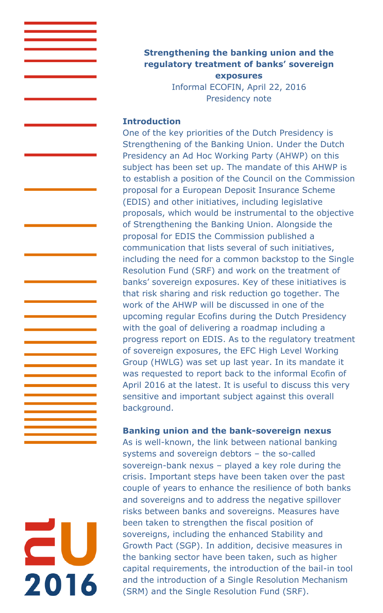**Strengthening the banking union and the regulatory treatment of banks' sovereign exposures**

> Informal ECOFIN, April 22, 2016 Presidency note

### **Introduction**

2016

One of the key priorities of the Dutch Presidency is Strengthening of the Banking Union. Under the Dutch Presidency an Ad Hoc Working Party (AHWP) on this subject has been set up. The mandate of this AHWP is to establish a position of the Council on the Commission proposal for a European Deposit Insurance Scheme (EDIS) and other initiatives, including legislative proposals, which would be instrumental to the objective of Strengthening the Banking Union. Alongside the proposal for EDIS the Commission published a communication that lists several of such initiatives, including the need for a common backstop to the Single Resolution Fund (SRF) and work on the treatment of banks' sovereign exposures. Key of these initiatives is that risk sharing and risk reduction go together. The work of the AHWP will be discussed in one of the upcoming regular Ecofins during the Dutch Presidency with the goal of delivering a roadmap including a progress report on EDIS. As to the regulatory treatment of sovereign exposures, the EFC High Level Working Group (HWLG) was set up last year. In its mandate it was requested to report back to the informal Ecofin of April 2016 at the latest. It is useful to discuss this very sensitive and important subject against this overall background.

### **Banking union and the bank-sovereign nexus**

As is well-known, the link between national banking systems and sovereign debtors – the so-called sovereign-bank nexus – played a key role during the crisis. Important steps have been taken over the past couple of years to enhance the resilience of both banks and sovereigns and to address the negative spillover risks between banks and sovereigns. Measures have been taken to strengthen the fiscal position of sovereigns, including the enhanced Stability and Growth Pact (SGP). In addition, decisive measures in the banking sector have been taken, such as higher capital requirements, the introduction of the bail-in tool and the introduction of a Single Resolution Mechanism (SRM) and the Single Resolution Fund (SRF).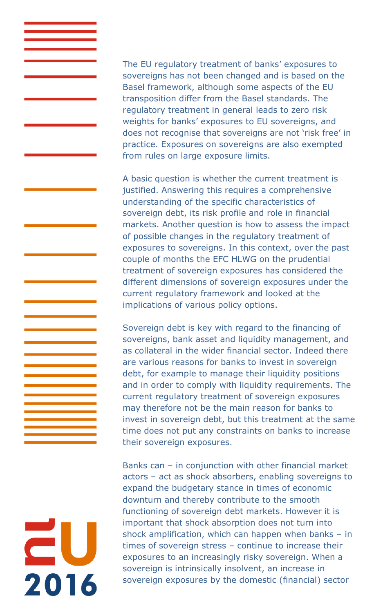The EU regulatory treatment of banks' exposures to sovereigns has not been changed and is based on the Basel framework, although some aspects of the EU transposition differ from the Basel standards. The regulatory treatment in general leads to zero risk weights for banks' exposures to EU sovereigns, and does not recognise that sovereigns are not 'risk free' in practice. Exposures on sovereigns are also exempted from rules on large exposure limits.

A basic question is whether the current treatment is justified. Answering this requires a comprehensive understanding of the specific characteristics of sovereign debt, its risk profile and role in financial markets. Another question is how to assess the impact of possible changes in the regulatory treatment of exposures to sovereigns. In this context, over the past couple of months the EFC HLWG on the prudential treatment of sovereign exposures has considered the different dimensions of sovereign exposures under the current regulatory framework and looked at the implications of various policy options.

Sovereign debt is key with regard to the financing of sovereigns, bank asset and liquidity management, and as collateral in the wider financial sector. Indeed there are various reasons for banks to invest in sovereign debt, for example to manage their liquidity positions and in order to comply with liquidity requirements. The current regulatory treatment of sovereign exposures may therefore not be the main reason for banks to invest in sovereign debt, but this treatment at the same time does not put any constraints on banks to increase their sovereign exposures.

Banks can – in conjunction with other financial market actors – act as shock absorbers, enabling sovereigns to expand the budgetary stance in times of economic downturn and thereby contribute to the smooth functioning of sovereign debt markets. However it is important that shock absorption does not turn into shock amplification, which can happen when banks – in times of sovereign stress – continue to increase their exposures to an increasingly risky sovereign. When a sovereign is intrinsically insolvent, an increase in sovereign exposures by the domestic (financial) sector

2016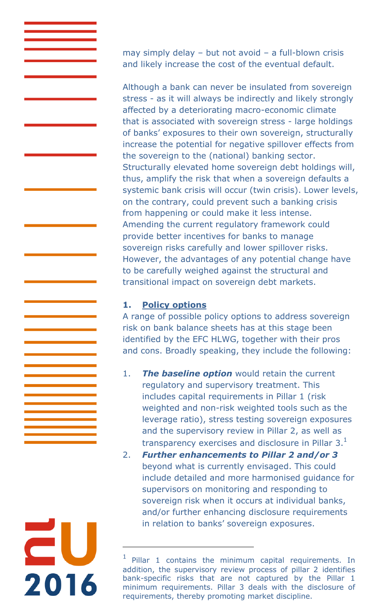may simply delay – but not avoid – a full-blown crisis and likely increase the cost of the eventual default.

Although a bank can never be insulated from sovereign stress - as it will always be indirectly and likely strongly affected by a deteriorating macro-economic climate that is associated with sovereign stress - large holdings of banks' exposures to their own sovereign, structurally increase the potential for negative spillover effects from the sovereign to the (national) banking sector. Structurally elevated home sovereign debt holdings will, thus, amplify the risk that when a sovereign defaults a systemic bank crisis will occur (twin crisis). Lower levels, on the contrary, could prevent such a banking crisis from happening or could make it less intense. Amending the current regulatory framework could provide better incentives for banks to manage sovereign risks carefully and lower spillover risks. However, the advantages of any potential change have to be carefully weighed against the structural and transitional impact on sovereign debt markets.

# **1. Policy options**

A range of possible policy options to address sovereign risk on bank balance sheets has at this stage been identified by the EFC HLWG, together with their pros and cons. Broadly speaking, they include the following:

- 1. *The baseline option* would retain the current regulatory and supervisory treatment. This includes capital requirements in Pillar 1 (risk weighted and non-risk weighted tools such as the leverage ratio), stress testing sovereign exposures and the supervisory review in Pillar 2, as well as transparency exercises and disclosure in Pillar  $3<sup>1</sup>$
- 2. *Further enhancements to Pillar 2 and/or 3* beyond what is currently envisaged. This could include detailed and more harmonised guidance for supervisors on monitoring and responding to sovereign risk when it occurs at individual banks, and/or further enhancing disclosure requirements in relation to banks' sovereign exposures.



i<br>I

<sup>1</sup> Pillar 1 contains the minimum capital requirements. In addition, the supervisory review process of pillar 2 identifies bank-specific risks that are not captured by the Pillar 1 minimum requirements. Pillar 3 deals with the disclosure of requirements, thereby promoting market discipline.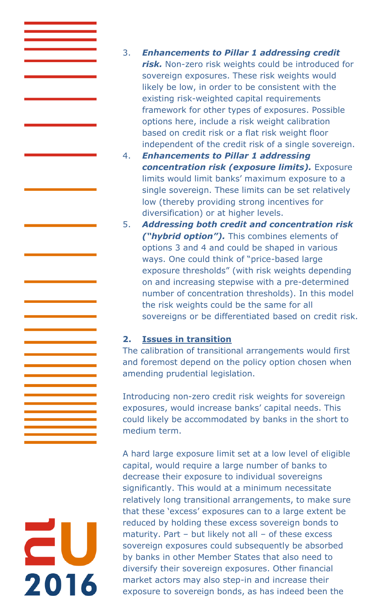- 3. *Enhancements to Pillar 1 addressing credit risk.* Non-zero risk weights could be introduced for sovereign exposures. These risk weights would likely be low, in order to be consistent with the existing risk-weighted capital requirements framework for other types of exposures. Possible options here, include a risk weight calibration based on credit risk or a flat risk weight floor independent of the credit risk of a single sovereign.
- 4. *Enhancements to Pillar 1 addressing concentration risk (exposure limits).* Exposure limits would limit banks' maximum exposure to a single sovereign. These limits can be set relatively low (thereby providing strong incentives for diversification) or at higher levels.
- 5. *Addressing both credit and concentration risk ("hybrid option").* This combines elements of options 3 and 4 and could be shaped in various ways. One could think of "price-based large exposure thresholds" (with risk weights depending on and increasing stepwise with a pre-determined number of concentration thresholds). In this model the risk weights could be the same for all sovereigns or be differentiated based on credit risk.

## **2. Issues in transition**

The calibration of transitional arrangements would first and foremost depend on the policy option chosen when amending prudential legislation.

Introducing non-zero credit risk weights for sovereign exposures, would increase banks' capital needs. This could likely be accommodated by banks in the short to medium term.

A hard large exposure limit set at a low level of eligible capital, would require a large number of banks to decrease their exposure to individual sovereigns significantly. This would at a minimum necessitate relatively long transitional arrangements, to make sure that these 'excess' exposures can to a large extent be reduced by holding these excess sovereign bonds to maturity. Part – but likely not all – of these excess sovereign exposures could subsequently be absorbed by banks in other Member States that also need to diversify their sovereign exposures. Other financial market actors may also step-in and increase their exposure to sovereign bonds, as has indeed been the

| <b>Report</b> |      |
|---------------|------|
|               |      |
|               | 2016 |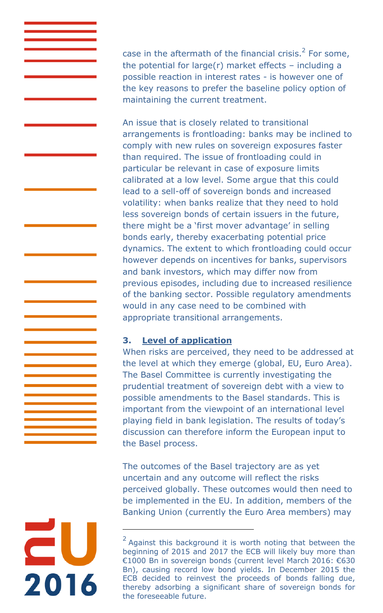case in the aftermath of the financial crisis.<sup>2</sup> For some, the potential for large(r) market effects  $-$  including a possible reaction in interest rates - is however one of the key reasons to prefer the baseline policy option of maintaining the current treatment.

An issue that is closely related to transitional arrangements is frontloading: banks may be inclined to comply with new rules on sovereign exposures faster than required. The issue of frontloading could in particular be relevant in case of exposure limits calibrated at a low level. Some argue that this could lead to a sell-off of sovereign bonds and increased volatility: when banks realize that they need to hold less sovereign bonds of certain issuers in the future, there might be a 'first mover advantage' in selling bonds early, thereby exacerbating potential price dynamics. The extent to which frontloading could occur however depends on incentives for banks, supervisors and bank investors, which may differ now from previous episodes, including due to increased resilience of the banking sector. Possible regulatory amendments would in any case need to be combined with appropriate transitional arrangements.

### **3. Level of application**

i

2016

When risks are perceived, they need to be addressed at the level at which they emerge (global, EU, Euro Area). The Basel Committee is currently investigating the prudential treatment of sovereign debt with a view to possible amendments to the Basel standards. This is important from the viewpoint of an international level playing field in bank legislation. The results of today's discussion can therefore inform the European input to the Basel process.

The outcomes of the Basel trajectory are as yet uncertain and any outcome will reflect the risks perceived globally. These outcomes would then need to be implemented in the EU. In addition, members of the Banking Union (currently the Euro Area members) may

 $2$  Against this background it is worth noting that between the beginning of 2015 and 2017 the ECB will likely buy more than €1000 Bn in sovereign bonds (current level March 2016: €630 Bn), causing record low bond yields. In December 2015 the ECB decided to reinvest the proceeds of bonds falling due, thereby adsorbing a significant share of sovereign bonds for the foreseeable future.